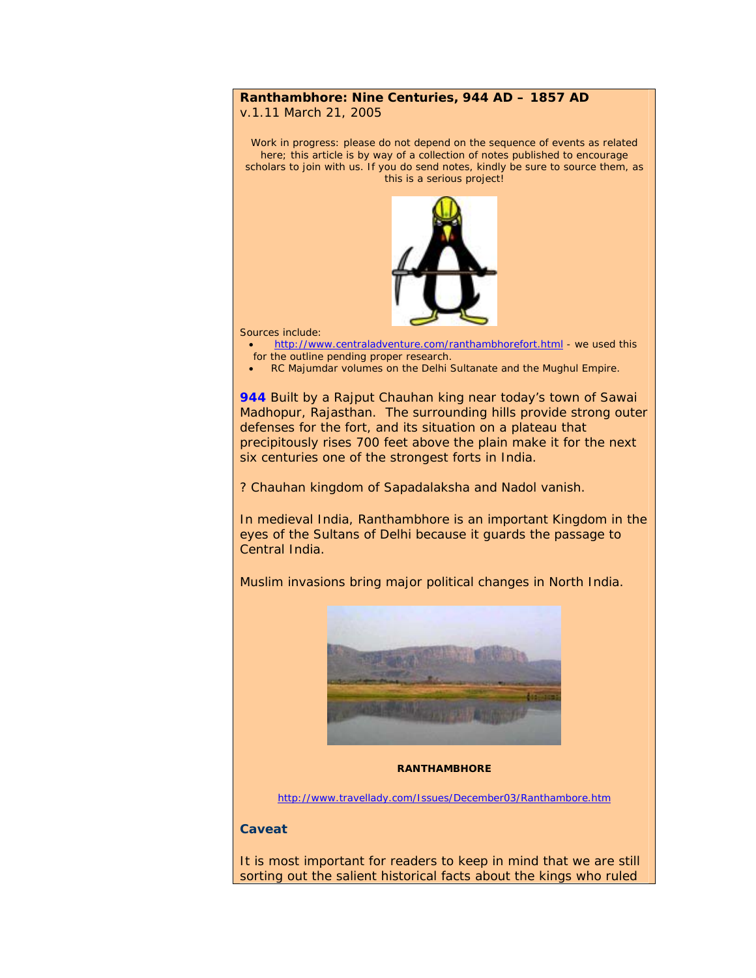## **Ranthambhore: Nine Centuries, 944 AD – 1857 AD**

v.1.11 March 21, 2005

Work in progress: please do not depend on the sequence of events as related here; this article is by way of a collection of notes published to encourage scholars to join with us. If you do send notes, kindly be sure to source them, as this is a serious project!



Sources include:

- <http://www.centraladventure.com/ranthambhorefort.html> we used this for the outline pending proper research.
- RC Majumdar volumes on the Delhi Sultanate and the Mughul Empire.

**944** Built by a Rajput Chauhan king near today's town of Sawai Madhopur, Rajasthan. The surrounding hills provide strong outer defenses for the fort, and its situation on a plateau that precipitously rises 700 feet above the plain make it for the next six centuries one of the strongest forts in India.

? Chauhan kingdom of Sapadalaksha and Nadol vanish.

In medieval India, Ranthambhore is an important Kingdom in the eyes of the Sultans of Delhi because it guards the passage to Central India.

Muslim invasions bring major political changes in North India.



## **RANTHAMBHORE**

<http://www.travellady.com/Issues/December03/Ranthambore.htm>

## **Caveat**

It is most important for readers to keep in mind that we are still sorting out the salient historical facts about the kings who ruled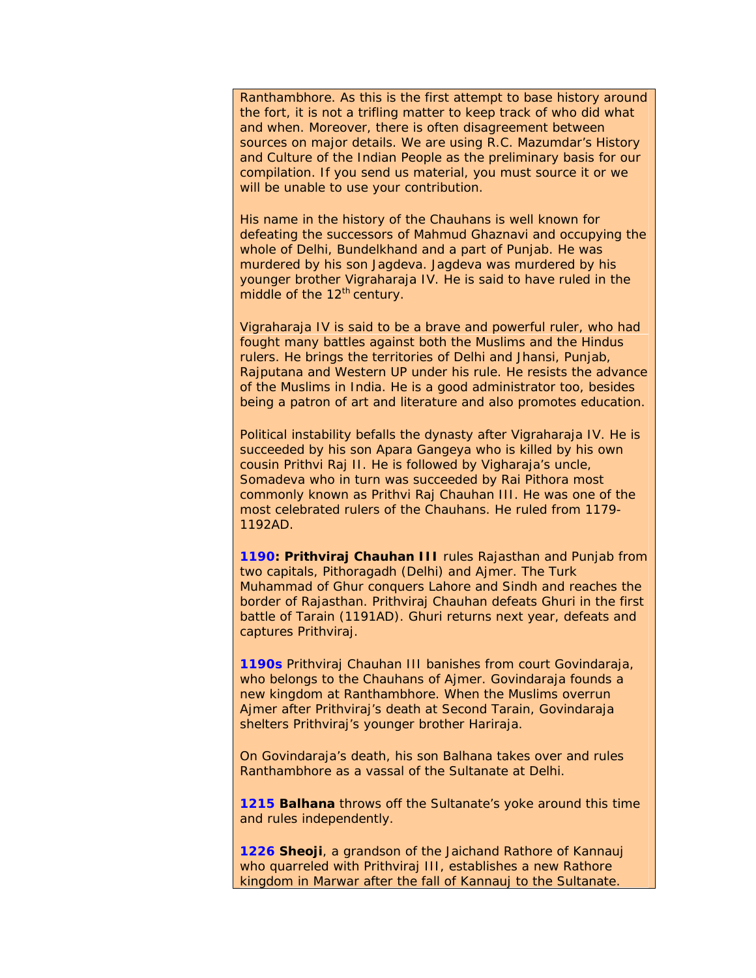Ranthambhore. As this is the first attempt to base history around the fort, it is not a trifling matter to keep track of who did what and when. Moreover, there is often disagreement between sources on major details. We are using R.C. Mazumdar's *History and Culture of the Indian People* as the preliminary basis for our compilation. If you send us material, you must source it or we will be unable to use your contribution.

His name in the history of the Chauhans is well known for defeating the successors of Mahmud Ghaznavi and occupying the whole of Delhi, Bundelkhand and a part of Punjab. He was murdered by his son Jagdeva. Jagdeva was murdered by his younger brother Vigraharaja IV. He is said to have ruled in the middle of the 12<sup>th</sup> century.

Vigraharaja IV is said to be a brave and powerful ruler, who had fought many battles against both the Muslims and the Hindus rulers. He brings the territories of Delhi and Jhansi, Punjab, Rajputana and Western UP under his rule. He resists the advance of the Muslims in India. He is a good administrator too, besides being a patron of art and literature and also promotes education.

Political instability befalls the dynasty after Vigraharaja IV. He is succeeded by his son Apara Gangeya who is killed by his own cousin Prithvi Raj II. He is followed by Vigharaja's uncle, Somadeva who in turn was succeeded by Rai Pithora most commonly known as Prithvi Raj Chauhan III. He was one of the most celebrated rulers of the Chauhans. He ruled from 1179- 1192AD.

**1190: Prithviraj Chauhan III** rules Rajasthan and Punjab from two capitals, Pithoragadh (Delhi) and Ajmer. The Turk Muhammad of Ghur conquers Lahore and Sindh and reaches the border of Rajasthan. Prithviraj Chauhan defeats Ghuri in the first battle of Tarain (1191AD). Ghuri returns next year, defeats and captures Prithviraj.

**1190s** Prithviraj Chauhan III banishes from court Govindaraja, who belongs to the Chauhans of Ajmer. Govindaraja founds a new kingdom at Ranthambhore. When the Muslims overrun Ajmer after Prithviraj's death at Second Tarain, Govindaraja shelters Prithviraj's younger brother Hariraja.

On Govindaraja's death, his son Balhana takes over and rules Ranthambhore as a vassal of the Sultanate at Delhi.

**1215 Balhana** throws off the Sultanate's yoke around this time and rules independently.

**1226 Sheoji**, a grandson of the Jaichand Rathore of Kannauj who quarreled with Prithviraj III, establishes a new Rathore kingdom in Marwar after the fall of Kannauj to the Sultanate.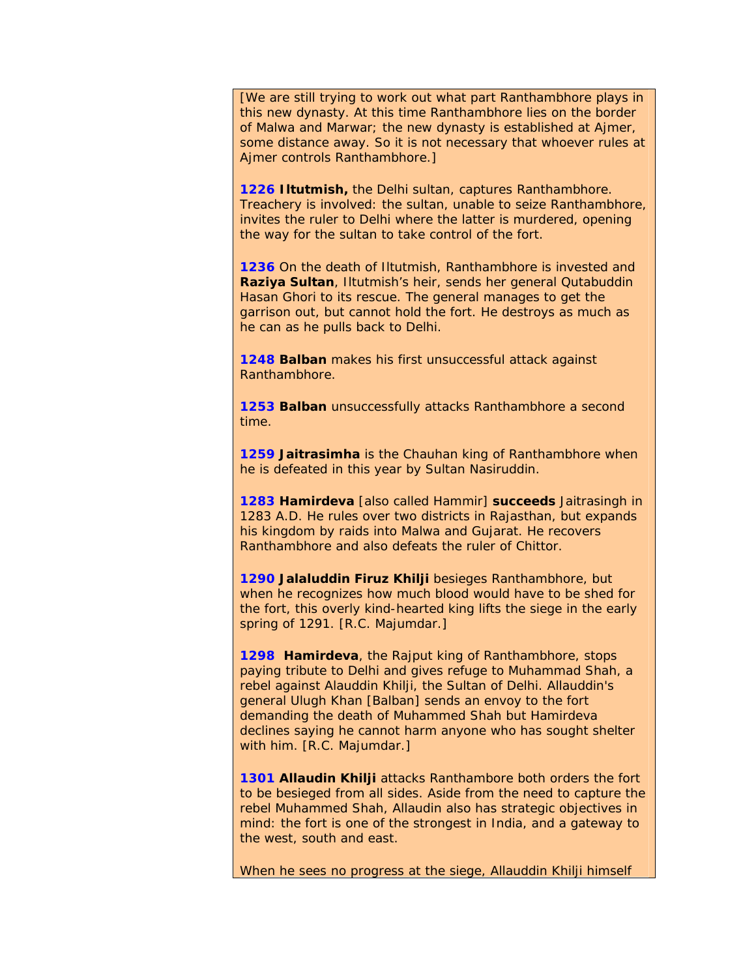[We are still trying to work out what part Ranthambhore plays in this new dynasty. At this time Ranthambhore lies on the border of Malwa and Marwar; the new dynasty is established at Ajmer, some distance away. So it is not necessary that whoever rules at Ajmer controls Ranthambhore.]

**1226 Iltutmish,** the Delhi sultan, captures Ranthambhore. Treachery is involved: the sultan, unable to seize Ranthambhore, invites the ruler to Delhi where the latter is murdered, opening the way for the sultan to take control of the fort.

**1236** On the death of Iltutmish, Ranthambhore is invested and **Raziya Sultan**, Iltutmish's heir, sends her general Qutabuddin Hasan Ghori to its rescue. The general manages to get the garrison out, but cannot hold the fort. He destroys as much as he can as he pulls back to Delhi.

**1248 Balban** makes his first unsuccessful attack against Ranthambhore.

**1253 Balban** unsuccessfully attacks Ranthambhore a second time.

**1259 Jaitrasimha** is the Chauhan king of Ranthambhore when he is defeated in this year by Sultan Nasiruddin.

**1283 Hamirdeva** [also called Hammir] **succeeds** Jaitrasingh in 1283 A.D. He rules over two districts in Rajasthan, but expands his kingdom by raids into Malwa and Gujarat. He recovers Ranthambhore and also defeats the ruler of Chittor.

**1290 Jalaluddin Firuz Khilji** besieges Ranthambhore, but when he recognizes how much blood would have to be shed for the fort, this overly kind-hearted king lifts the siege in the early spring of 1291. [R.C. Majumdar.]

**1298 Hamirdeva**, the Rajput king of Ranthambhore, stops paying tribute to Delhi and gives refuge to Muhammad Shah, a rebel against Alauddin Khilji, the Sultan of Delhi. Allauddin's general Ulugh Khan [Balban] sends an envoy to the fort demanding the death of Muhammed Shah but Hamirdeva declines saying he cannot harm anyone who has sought shelter with him. [R.C. Majumdar.]

**1301 Allaudin Khilji** attacks Ranthambore both orders the fort to be besieged from all sides. Aside from the need to capture the rebel Muhammed Shah, Allaudin also has strategic objectives in mind: the fort is one of the strongest in India, and a gateway to the west, south and east.

When he sees no progress at the siege, Allauddin Khilji himself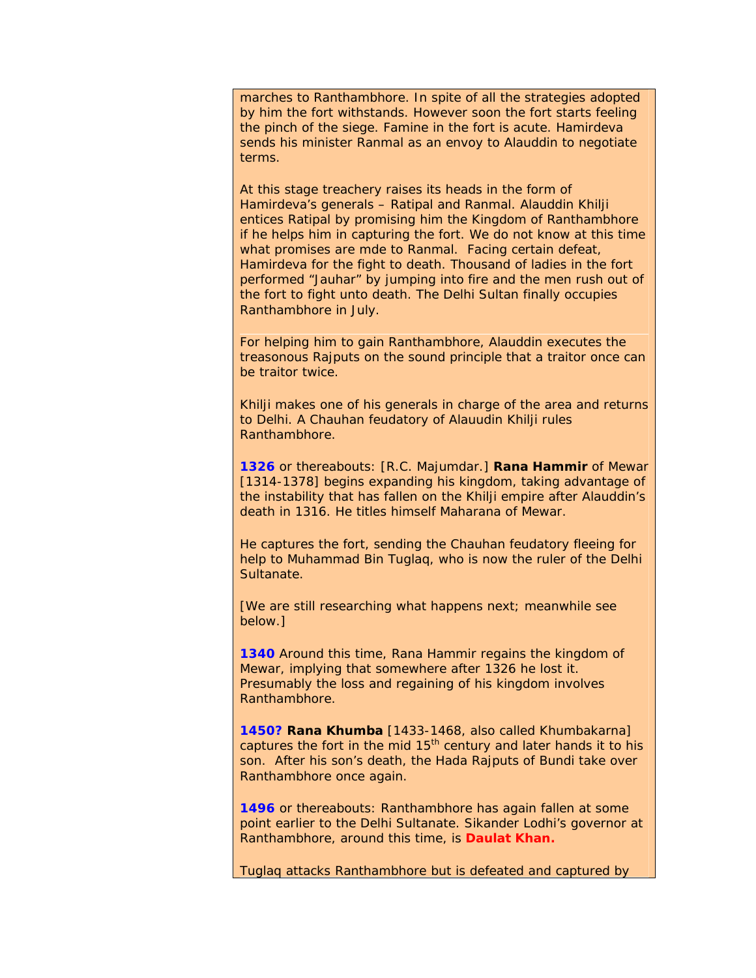marches to Ranthambhore. In spite of all the strategies adopted by him the fort withstands. However soon the fort starts feeling the pinch of the siege. Famine in the fort is acute. Hamirdeva sends his minister Ranmal as an envoy to Alauddin to negotiate terms.

At this stage treachery raises its heads in the form of Hamirdeva's generals – Ratipal and Ranmal. Alauddin Khilji entices Ratipal by promising him the Kingdom of Ranthambhore if he helps him in capturing the fort. We do not know at this time what promises are mde to Ranmal. Facing certain defeat, Hamirdeva for the fight to death. Thousand of ladies in the fort performed "Jauhar" by jumping into fire and the men rush out of the fort to fight unto death. The Delhi Sultan finally occupies Ranthambhore in July.

For helping him to gain Ranthambhore, Alauddin executes the treasonous Rajputs on the sound principle that a traitor once can be traitor twice.

Khilji makes one of his generals in charge of the area and returns to Delhi. A Chauhan feudatory of Alauudin Khilji rules Ranthambhore.

**1326** or thereabouts: [R.C. Majumdar.] **Rana Hammir** of Mewar [1314-1378] begins expanding his kingdom, taking advantage of the instability that has fallen on the Khilji empire after Alauddin's death in 1316. He titles himself Maharana of Mewar.

He captures the fort, sending the Chauhan feudatory fleeing for help to Muhammad Bin Tuglaq, who is now the ruler of the Delhi Sultanate.

[We are still researching what happens next; meanwhile see below.]

**1340** Around this time, Rana Hammir regains the kingdom of Mewar, implying that somewhere after 1326 he lost it. Presumably the loss and regaining of his kingdom involves Ranthambhore.

**1450? Rana Khumba** [1433-1468, also called Khumbakarna] captures the fort in the mid  $15<sup>th</sup>$  century and later hands it to his son. After his son's death, the Hada Rajputs of Bundi take over Ranthambhore once again.

**1496** or thereabouts: Ranthambhore has again fallen at some point earlier to the Delhi Sultanate. Sikander Lodhi's governor at Ranthambhore, around this time, is **Daulat Khan.**

Tuglaq attacks Ranthambhore but is defeated and captured by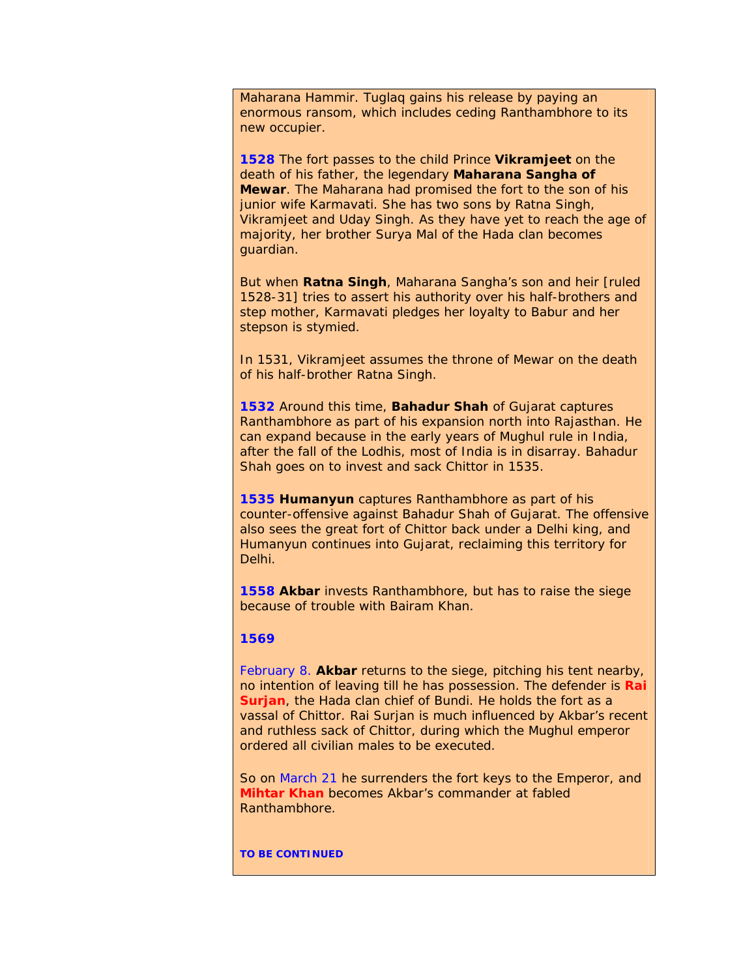Maharana Hammir. Tuglaq gains his release by paying an enormous ransom, which includes ceding Ranthambhore to its new occupier.

**1528** The fort passes to the child Prince **Vikramjeet** on the death of his father, the legendary **Maharana Sangha of Mewar**. The Maharana had promised the fort to the son of his junior wife Karmavati. She has two sons by Ratna Singh, Vikramjeet and Uday Singh. As they have yet to reach the age of majority, her brother Surya Mal of the Hada clan becomes guardian.

But when **Ratna Singh**, Maharana Sangha's son and heir [ruled 1528-31] tries to assert his authority over his half-brothers and step mother, Karmavati pledges her loyalty to Babur and her stepson is stymied.

In 1531, Vikramjeet assumes the throne of Mewar on the death of his half-brother Ratna Singh.

**1532** Around this time, **Bahadur Shah** of Gujarat captures Ranthambhore as part of his expansion north into Rajasthan. He can expand because in the early years of Mughul rule in India, after the fall of the Lodhis, most of India is in disarray. Bahadur Shah goes on to invest and sack Chittor in 1535.

**1535 Humanyun** captures Ranthambhore as part of his counter-offensive against Bahadur Shah of Gujarat. The offensive also sees the great fort of Chittor back under a Delhi king, and Humanyun continues into Gujarat, reclaiming this territory for Delhi.

**1558 Akbar** invests Ranthambhore, but has to raise the siege because of trouble with Bairam Khan.

## **1569**

February 8. **Akbar** returns to the siege, pitching his tent nearby, no intention of leaving till he has possession. The defender is **Rai Surjan**, the Hada clan chief of Bundi. He holds the fort as a vassal of Chittor. Rai Surjan is much influenced by Akbar's recent and ruthless sack of Chittor, during which the Mughul emperor ordered all civilian males to be executed.

So on March 21 he surrenders the fort keys to the Emperor, and **Mihtar Khan** becomes Akbar's commander at fabled Ranthambhore.

**TO BE CONTINUED**